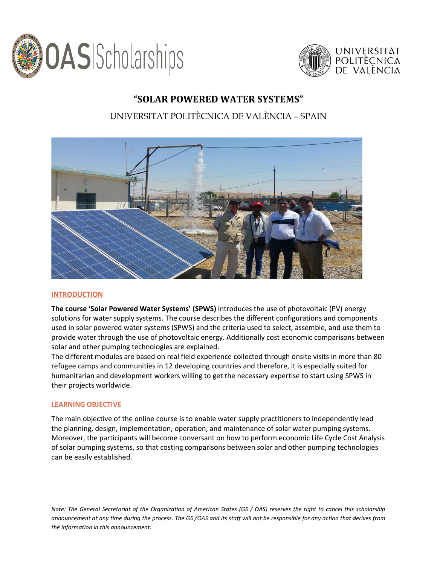



### **"SOLAR POWERED WATER SYSTEMS"**

### UNIVERSITAT POLITÈCNICA DE VALÈNCIA – SPAIN



#### **INTRODUCTION**

**The course 'Solar Powered Water Systems' (SPWS)** introduces the use of photovoltaic (PV) energy solutions for water supply systems. The course describes the different configurations and components used in solar powered water systems (SPWS) and the criteria used to select, assemble, and use them to provide water through the use of photovoltaic energy. Additionally cost economic comparisons between solar and other pumping technologies are explained.

The different modules are based on real field experience collected through onsite visits in more than 80 refugee camps and communities in 12 developing countries and therefore, it is especially suited for humanitarian and development workers willing to get the necessary expertise to start using SPWS in their projects worldwide.

#### **LEARNING OBJECTIVE**

The main objective of the online course is to enable water supply practitioners to independently lead the planning, design, implementation, operation, and maintenance of solar water pumping systems. Moreover, the participants will become conversant on how to perform economic Life Cycle Cost Analysis of solar pumping systems, so that costing comparisons between solar and other pumping technologies can be easily established.

*Note: The General Secretariat of the Organization of American States (GS / OAS) reserves the right to cancel this scholarship announcement at any time during the process. The GS /OAS and its staff will not be responsible for any action that derives from the information in this announcement.*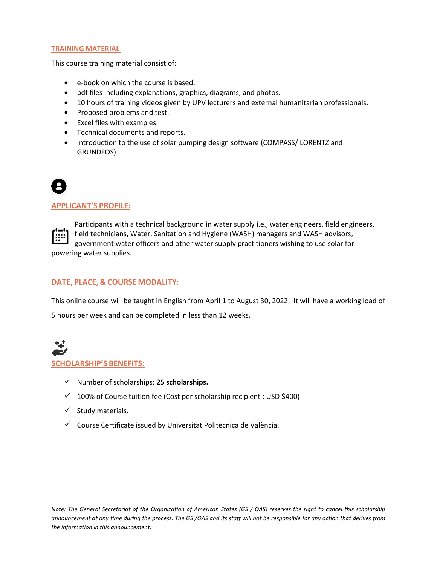#### **TRAINING MATERIAL**

This course training material consist of:

- e-book on which the course is based.
- pdf files including explanations, graphics, diagrams, and photos.
- 10 hours of training videos given by UPV lecturers and external humanitarian professionals.
- Proposed problems and test.
- Excel files with examples.
- Technical documents and reports.
- Introduction to the use of solar pumping design software (COMPASS/ LORENTZ and GRUNDFOS).

#### **APPLICANT'S PROFILE:**

Participants with a technical background in water supply i.e., water engineers, field engineers, <u>היין</u> field technicians, Water, Sanitation and Hygiene (WASH) managers and WASH advisors, government water officers and other water supply practitioners wishing to use solar for powering water supplies.

#### **DATE, PLACE, & COURSE MODALITY:**

This online course will be taught in English from April 1 to August 30, 2022. It will have a working load of

5 hours per week and can be completed in less than 12 weeks.

# **SCHOLARSHIP'S BENEFITS:**

- ✓ Number of scholarships: **25 scholarships.**
- ✓ 100% of Course tuition fee (Cost per scholarship recipient : USD \$400)
- ✓ Study materials.
- ✓ Course Certificate issued by Universitat Politècnica de València.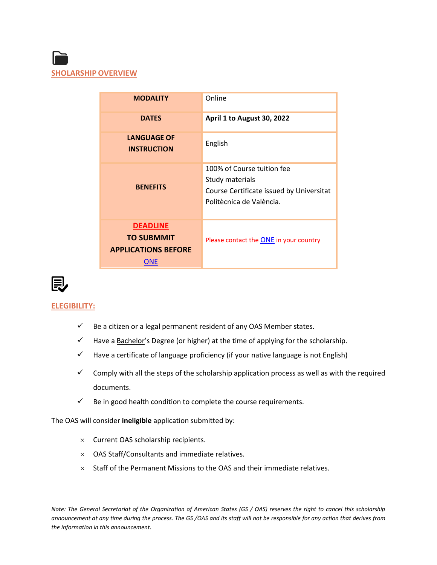

| <b>MODALITY</b>                                                           | Online                                                                                                                |
|---------------------------------------------------------------------------|-----------------------------------------------------------------------------------------------------------------------|
| <b>DATES</b>                                                              | April 1 to August 30, 2022                                                                                            |
| <b>LANGUAGE OF</b><br><b>INSTRUCTION</b>                                  | English                                                                                                               |
| <b>BENEFITS</b>                                                           | 100% of Course tuition fee<br>Study materials<br>Course Certificate issued by Universitat<br>Politècnica de València. |
| <b>DEADLINE</b><br><b>TO SUBMMIT</b><br><b>APPLICATIONS BEFORE</b><br>ONE | Please contact the <b>ONE</b> in your country                                                                         |



#### **ELEGIBILITY:**

- $\checkmark$  Be a citizen or a legal permanent resident of any OAS Member states.
- $\checkmark$  Have a <u>Bachelor'</u>s Degree (or higher) at the time of applying for the scholarship.
- $\checkmark$  Have a certificate of language proficiency (if your native language is not English)
- $\checkmark$  Comply with all the steps of the scholarship application process as well as with the required documents.
- $\checkmark$  Be in good health condition to complete the course requirements.

The OAS will consider **ineligible** application submitted by:

- $\times$  Current OAS scholarship recipients.
- $\times$  OAS Staff/Consultants and immediate relatives.
- $\times$  Staff of the Permanent Missions to the OAS and their immediate relatives.

*Note: The General Secretariat of the Organization of American States (GS / OAS) reserves the right to cancel this scholarship announcement at any time during the process. The GS /OAS and its staff will not be responsible for any action that derives from the information in this announcement.*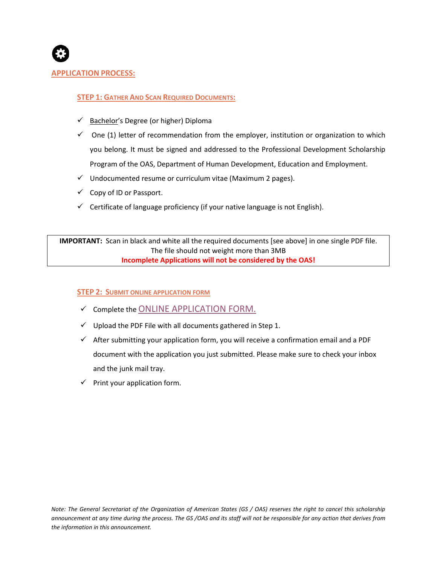

#### **APPLICATION PROCESS:**

#### **STEP 1: GATHER AND SCAN REQUIRED DOCUMENTS:**

- ✓ Bachelor's Degree (or higher) Diploma
- $\checkmark$  One (1) letter of recommendation from the employer, institution or organization to which you belong. It must be signed and addressed to the Professional Development Scholarship Program of the OAS, Department of Human Development, Education and Employment.
- $\checkmark$  Undocumented resume or curriculum vitae (Maximum 2 pages).
- $\checkmark$  Copy of ID or Passport.
- $\checkmark$  Certificate of language proficiency (if your native language is not English).

**IMPORTANT:** Scan in black and white all the required documents [see above] in one single PDF file. The file should not weight more than 3MB **Incomplete Applications will not be considered by the OAS!**

#### **STEP 2: SUBMIT ONLINE APPLICATION FORM**

- $\checkmark$  Complete the [ONLINE APPLICATION FORM.](https://www.oas.org/fms/Announcement.aspx?id=1125&Type=2&Lang=Eng)
- $\checkmark$  Upload the PDF File with all documents gathered in Step 1.
- $\checkmark$  After submitting your application form, you will receive a confirmation email and a PDF document with the application you just submitted. Please make sure to check your inbox and the junk mail tray.
- $\checkmark$  Print your application form.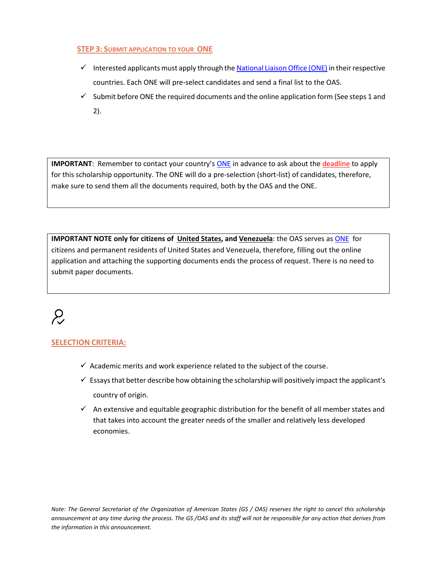#### **STEP 3: SUBMIT APPLICATION TO YOUR ONE**

- $\checkmark$  Interested applicants must apply through th[e National Liaison Office \(ONE\)](http://www.oas.org/en/scholarships/regularprogram/one.asp) in their respective countries. Each ONE will pre-select candidates and send a final list to the OAS.
- $\checkmark$  Submit before ONE the required documents and the online application form (See steps 1 and 2).

**IMPORTANT**: Remember to contact your country's **[ONE](http://www.oas.org/en/scholarships/regularprogram/one.asp)** in advance to ask about the deadline to apply for this scholarship opportunity. The ONE will do a pre-selection (short-list) of candidates, therefore, make sure to send them all the documents required, both by the OAS and the ONE.

**IMPORTANT NOTE only for citizens of United States, and Venezuela**: the OAS serves as [ONE](http://www.oas.org/en/scholarships/regularprogram/one.asp) for citizens and permanent residents of United States and Venezuela, therefore, filling out the online application and attaching the supporting documents ends the process of request. There is no need to submit paper documents.

## $\mathcal{L}$

#### **SELECTION CRITERIA:**

- $\checkmark$  Academic merits and work experience related to the subject of the course.
- $\checkmark$  Essays that better describe how obtaining the scholarship will positively impact the applicant's country of origin.
- $\checkmark$  An extensive and equitable geographic distribution for the benefit of all member states and that takes into account the greater needs of the smaller and relatively less developed economies.